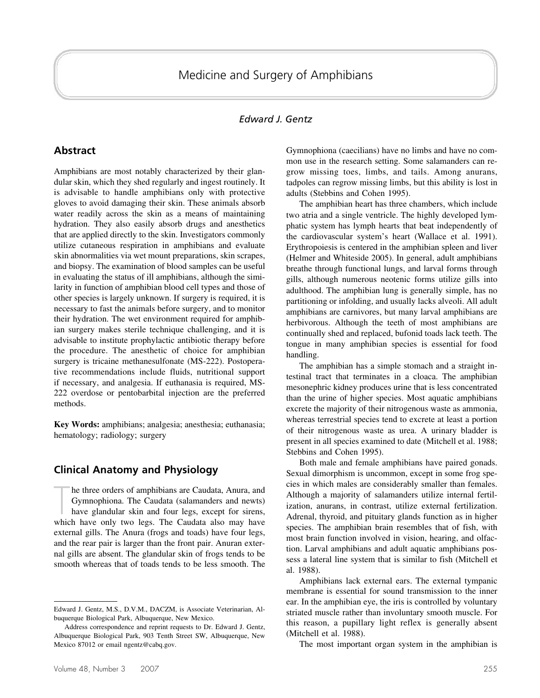## *Edward J. Gentz*

### **Abstract**

Amphibians are most notably characterized by their glandular skin, which they shed regularly and ingest routinely. It is advisable to handle amphibians only with protective gloves to avoid damaging their skin. These animals absorb water readily across the skin as a means of maintaining hydration. They also easily absorb drugs and anesthetics that are applied directly to the skin. Investigators commonly utilize cutaneous respiration in amphibians and evaluate skin abnormalities via wet mount preparations, skin scrapes, and biopsy. The examination of blood samples can be useful in evaluating the status of ill amphibians, although the similarity in function of amphibian blood cell types and those of other species is largely unknown. If surgery is required, it is necessary to fast the animals before surgery, and to monitor their hydration. The wet environment required for amphibian surgery makes sterile technique challenging, and it is advisable to institute prophylactic antibiotic therapy before the procedure. The anesthetic of choice for amphibian surgery is tricaine methanesulfonate (MS-222). Postoperative recommendations include fluids, nutritional support if necessary, and analgesia. If euthanasia is required, MS-222 overdose or pentobarbital injection are the preferred methods.

**Key Words:** amphibians; analgesia; anesthesia; euthanasia; hematology; radiology; surgery

#### **Clinical Anatomy and Physiology**

The three orders of amphibians are Caudata, Anura, and Gymnophiona. The Caudata (salamanders and newts) have glandular skin and four legs, except for sirens, which have only two legs. The Caudata also may have he three orders of amphibians are Caudata, Anura, and Gymnophiona. The Caudata (salamanders and newts) have glandular skin and four legs, except for sirens, external gills. The Anura (frogs and toads) have four legs, and the rear pair is larger than the front pair. Anuran external gills are absent. The glandular skin of frogs tends to be smooth whereas that of toads tends to be less smooth. The Gymnophiona (caecilians) have no limbs and have no common use in the research setting. Some salamanders can regrow missing toes, limbs, and tails. Among anurans, tadpoles can regrow missing limbs, but this ability is lost in adults (Stebbins and Cohen 1995).

The amphibian heart has three chambers, which include two atria and a single ventricle. The highly developed lymphatic system has lymph hearts that beat independently of the cardiovascular system's heart (Wallace et al. 1991). Erythropoiesis is centered in the amphibian spleen and liver (Helmer and Whiteside 2005). In general, adult amphibians breathe through functional lungs, and larval forms through gills, although numerous neotenic forms utilize gills into adulthood. The amphibian lung is generally simple, has no partitioning or infolding, and usually lacks alveoli. All adult amphibians are carnivores, but many larval amphibians are herbivorous. Although the teeth of most amphibians are continually shed and replaced, bufonid toads lack teeth. The tongue in many amphibian species is essential for food handling.

The amphibian has a simple stomach and a straight intestinal tract that terminates in a cloaca. The amphibian mesonephric kidney produces urine that is less concentrated than the urine of higher species. Most aquatic amphibians excrete the majority of their nitrogenous waste as ammonia, whereas terrestrial species tend to excrete at least a portion of their nitrogenous waste as urea. A urinary bladder is present in all species examined to date (Mitchell et al. 1988; Stebbins and Cohen 1995).

Both male and female amphibians have paired gonads. Sexual dimorphism is uncommon, except in some frog species in which males are considerably smaller than females. Although a majority of salamanders utilize internal fertilization, anurans, in contrast, utilize external fertilization. Adrenal, thyroid, and pituitary glands function as in higher species. The amphibian brain resembles that of fish, with most brain function involved in vision, hearing, and olfaction. Larval amphibians and adult aquatic amphibians possess a lateral line system that is similar to fish (Mitchell et al. 1988).

Amphibians lack external ears. The external tympanic membrane is essential for sound transmission to the inner ear. In the amphibian eye, the iris is controlled by voluntary striated muscle rather than involuntary smooth muscle. For this reason, a pupillary light reflex is generally absent (Mitchell et al. 1988).

The most important organ system in the amphibian is

Edward J. Gentz, M.S., D.V.M., DACZM, is Associate Veterinarian, Albuquerque Biological Park, Albuquerque, New Mexico.

Address correspondence and reprint requests to Dr. Edward J. Gentz, Albuquerque Biological Park, 903 Tenth Street SW, Albuquerque, New Mexico 87012 or email ngentz@cabq.gov.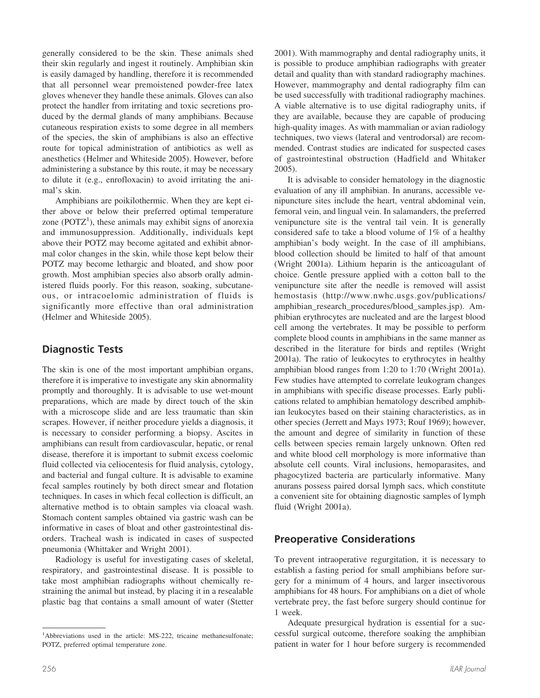generally considered to be the skin. These animals shed their skin regularly and ingest it routinely. Amphibian skin is easily damaged by handling, therefore it is recommended that all personnel wear premoistened powder-free latex gloves whenever they handle these animals. Gloves can also protect the handler from irritating and toxic secretions produced by the dermal glands of many amphibians. Because cutaneous respiration exists to some degree in all members of the species, the skin of amphibians is also an effective route for topical administration of antibiotics as well as anesthetics (Helmer and Whiteside 2005). However, before administering a substance by this route, it may be necessary to dilute it (e.g., enrofloxacin) to avoid irritating the animal's skin.

Amphibians are poikilothermic. When they are kept either above or below their preferred optimal temperature zone  $(POTZ<sup>1</sup>)$ , these animals may exhibit signs of anorexia and immunosuppression. Additionally, individuals kept above their POTZ may become agitated and exhibit abnormal color changes in the skin, while those kept below their POTZ may become lethargic and bloated, and show poor growth. Most amphibian species also absorb orally administered fluids poorly. For this reason, soaking, subcutaneous, or intracoelomic administration of fluids is significantly more effective than oral administration (Helmer and Whiteside 2005).

# **Diagnostic Tests**

The skin is one of the most important amphibian organs, therefore it is imperative to investigate any skin abnormality promptly and thoroughly. It is advisable to use wet-mount preparations, which are made by direct touch of the skin with a microscope slide and are less traumatic than skin scrapes. However, if neither procedure yields a diagnosis, it is necessary to consider performing a biopsy. Ascites in amphibians can result from cardiovascular, hepatic, or renal disease, therefore it is important to submit excess coelomic fluid collected via celiocentesis for fluid analysis, cytology, and bacterial and fungal culture. It is advisable to examine fecal samples routinely by both direct smear and flotation techniques. In cases in which fecal collection is difficult, an alternative method is to obtain samples via cloacal wash. Stomach content samples obtained via gastric wash can be informative in cases of bloat and other gastrointestinal disorders. Tracheal wash is indicated in cases of suspected pneumonia (Whittaker and Wright 2001).

Radiology is useful for investigating cases of skeletal, respiratory, and gastrointestinal disease. It is possible to take most amphibian radiographs without chemically restraining the animal but instead, by placing it in a resealable plastic bag that contains a small amount of water (Stetter

2001). With mammography and dental radiography units, it is possible to produce amphibian radiographs with greater detail and quality than with standard radiography machines. However, mammography and dental radiography film can be used successfully with traditional radiography machines. A viable alternative is to use digital radiography units, if they are available, because they are capable of producing high-quality images. As with mammalian or avian radiology techniques, two views (lateral and ventrodorsal) are recommended. Contrast studies are indicated for suspected cases of gastrointestinal obstruction (Hadfield and Whitaker 2005).

It is advisable to consider hematology in the diagnostic evaluation of any ill amphibian. In anurans, accessible venipuncture sites include the heart, ventral abdominal vein, femoral vein, and lingual vein. In salamanders, the preferred venipuncture site is the ventral tail vein. It is generally considered safe to take a blood volume of 1% of a healthy amphibian's body weight. In the case of ill amphibians, blood collection should be limited to half of that amount (Wright 2001a). Lithium heparin is the anticoagulant of choice. Gentle pressure applied with a cotton ball to the venipuncture site after the needle is removed will assist hemostasis (http://www.nwhc.usgs.gov/publications/ amphibian research procedures/blood samples.jsp). Amphibian erythrocytes are nucleated and are the largest blood cell among the vertebrates. It may be possible to perform complete blood counts in amphibians in the same manner as described in the literature for birds and reptiles (Wright 2001a). The ratio of leukocytes to erythrocytes in healthy amphibian blood ranges from 1:20 to 1:70 (Wright 2001a). Few studies have attempted to correlate leukogram changes in amphibians with specific disease processes. Early publications related to amphibian hematology described amphibian leukocytes based on their staining characteristics, as in other species (Jerrett and Mays 1973; Rouf 1969); however, the amount and degree of similarity in function of these cells between species remain largely unknown. Often red and white blood cell morphology is more informative than absolute cell counts. Viral inclusions, hemoparasites, and phagocytized bacteria are particularly informative. Many anurans possess paired dorsal lymph sacs, which constitute a convenient site for obtaining diagnostic samples of lymph fluid (Wright 2001a).

## **Preoperative Considerations**

To prevent intraoperative regurgitation, it is necessary to establish a fasting period for small amphibians before surgery for a minimum of 4 hours, and larger insectivorous amphibians for 48 hours. For amphibians on a diet of whole vertebrate prey, the fast before surgery should continue for 1 week.

Adequate presurgical hydration is essential for a successful surgical outcome, therefore soaking the amphibian patient in water for 1 hour before surgery is recommended

<sup>&</sup>lt;sup>1</sup>Abbreviations used in the article: MS-222, tricaine methanesulfonate; POTZ, preferred optimal temperature zone.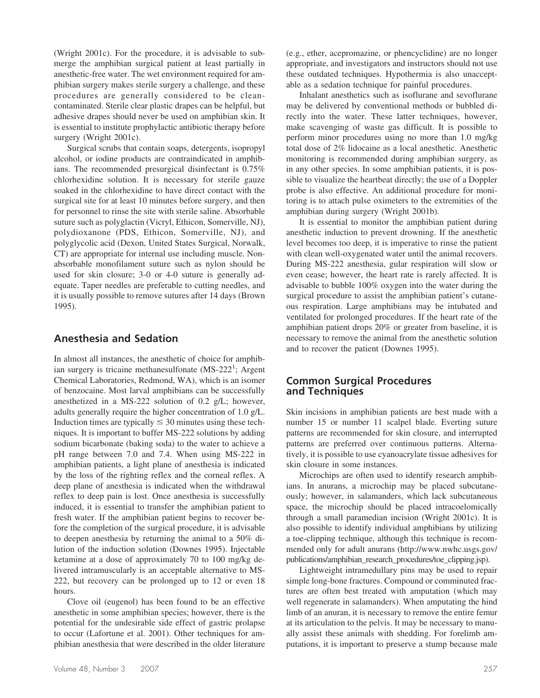(Wright 2001c). For the procedure, it is advisable to submerge the amphibian surgical patient at least partially in anesthetic-free water. The wet environment required for amphibian surgery makes sterile surgery a challenge, and these procedures are generally considered to be cleancontaminated. Sterile clear plastic drapes can be helpful, but adhesive drapes should never be used on amphibian skin. It is essential to institute prophylactic antibiotic therapy before surgery (Wright 2001c).

Surgical scrubs that contain soaps, detergents, isopropyl alcohol, or iodine products are contraindicated in amphibians. The recommended presurgical disinfectant is 0.75% chlorhexidine solution. It is necessary for sterile gauze soaked in the chlorhexidine to have direct contact with the surgical site for at least 10 minutes before surgery, and then for personnel to rinse the site with sterile saline. Absorbable suture such as polyglactin (Vicryl, Ethicon, Somerville, NJ), polydioxanone (PDS, Ethicon, Somerville, NJ), and polyglycolic acid (Dexon, United States Surgical, Norwalk, CT) are appropriate for internal use including muscle. Nonabsorbable monofilament suture such as nylon should be used for skin closure; 3-0 or 4-0 suture is generally adequate. Taper needles are preferable to cutting needles, and it is usually possible to remove sutures after 14 days (Brown 1995).

### **Anesthesia and Sedation**

In almost all instances, the anesthetic of choice for amphibian surgery is tricaine methanesulfonate (MS-222<sup>1</sup>; Argent Chemical Laboratories, Redmond, WA), which is an isomer of benzocaine. Most larval amphibians can be successfully anesthetized in a MS-222 solution of 0.2 g/L; however, adults generally require the higher concentration of 1.0 g/L. Induction times are typically  $\leq$  30 minutes using these techniques. It is important to buffer MS-222 solutions by adding sodium bicarbonate (baking soda) to the water to achieve a pH range between 7.0 and 7.4. When using MS-222 in amphibian patients, a light plane of anesthesia is indicated by the loss of the righting reflex and the corneal reflex. A deep plane of anesthesia is indicated when the withdrawal reflex to deep pain is lost. Once anesthesia is successfully induced, it is essential to transfer the amphibian patient to fresh water. If the amphibian patient begins to recover before the completion of the surgical procedure, it is advisable to deepen anesthesia by returning the animal to a 50% dilution of the induction solution (Downes 1995). Injectable ketamine at a dose of approximately 70 to 100 mg/kg delivered intramuscularly is an acceptable alternative to MS-222, but recovery can be prolonged up to 12 or even 18 hours.

Clove oil (eugenol) has been found to be an effective anesthetic in some amphibian species; however, there is the potential for the undesirable side effect of gastric prolapse to occur (Lafortune et al. 2001). Other techniques for amphibian anesthesia that were described in the older literature

(e.g., ether, acepromazine, or phencyclidine) are no longer appropriate, and investigators and instructors should not use these outdated techniques. Hypothermia is also unacceptable as a sedation technique for painful procedures.

Inhalant anesthetics such as isoflurane and sevoflurane may be delivered by conventional methods or bubbled directly into the water. These latter techniques, however, make scavenging of waste gas difficult. It is possible to perform minor procedures using no more than 1.0 mg/kg total dose of 2% lidocaine as a local anesthetic. Anesthetic monitoring is recommended during amphibian surgery, as in any other species. In some amphibian patients, it is possible to visualize the heartbeat directly; the use of a Doppler probe is also effective. An additional procedure for monitoring is to attach pulse oximeters to the extremities of the amphibian during surgery (Wright 2001b).

It is essential to monitor the amphibian patient during anesthetic induction to prevent drowning. If the anesthetic level becomes too deep, it is imperative to rinse the patient with clean well-oxygenated water until the animal recovers. During MS-222 anesthesia, gular respiration will slow or even cease; however, the heart rate is rarely affected. It is advisable to bubble 100% oxygen into the water during the surgical procedure to assist the amphibian patient's cutaneous respiration. Large amphibians may be intubated and ventilated for prolonged procedures. If the heart rate of the amphibian patient drops 20% or greater from baseline, it is necessary to remove the animal from the anesthetic solution and to recover the patient (Downes 1995).

## **Common Surgical Procedures and Techniques**

Skin incisions in amphibian patients are best made with a number 15 or number 11 scalpel blade. Everting suture patterns are recommended for skin closure, and interrupted patterns are preferred over continuous patterns. Alternatively, it is possible to use cyanoacrylate tissue adhesives for skin closure in some instances.

Microchips are often used to identify research amphibians. In anurans, a microchip may be placed subcutaneously; however, in salamanders, which lack subcutaneous space, the microchip should be placed intracoelomically through a small paramedian incision (Wright 2001c). It is also possible to identify individual amphibians by utilizing a toe-clipping technique, although this technique is recommended only for adult anurans (http://www.nwhc.usgs.gov/ publications/amphibian\_research\_procedures/toe\_clipping.jsp).

Lightweight intramedullary pins may be used to repair simple long-bone fractures. Compound or comminuted fractures are often best treated with amputation (which may well regenerate in salamanders). When amputating the hind limb of an anuran, it is necessary to remove the entire femur at its articulation to the pelvis. It may be necessary to manually assist these animals with shedding. For forelimb amputations, it is important to preserve a stump because male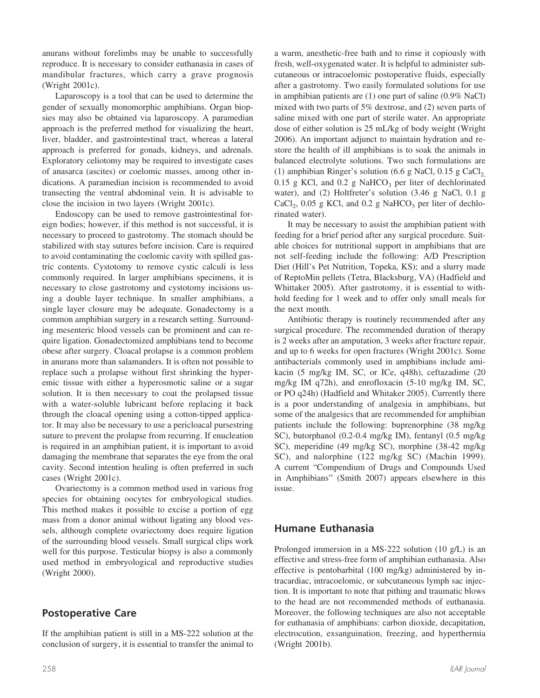anurans without forelimbs may be unable to successfully reproduce. It is necessary to consider euthanasia in cases of mandibular fractures, which carry a grave prognosis (Wright 2001c).

Laparoscopy is a tool that can be used to determine the gender of sexually monomorphic amphibians. Organ biopsies may also be obtained via laparoscopy. A paramedian approach is the preferred method for visualizing the heart, liver, bladder, and gastrointestinal tract, whereas a lateral approach is preferred for gonads, kidneys, and adrenals. Exploratory celiotomy may be required to investigate cases of anasarca (ascites) or coelomic masses, among other indications. A paramedian incision is recommended to avoid transecting the ventral abdominal vein. It is advisable to close the incision in two layers (Wright 2001c).

Endoscopy can be used to remove gastrointestinal foreign bodies; however, if this method is not successful, it is necessary to proceed to gastrotomy. The stomach should be stabilized with stay sutures before incision. Care is required to avoid contaminating the coelomic cavity with spilled gastric contents. Cystotomy to remove cystic calculi is less commonly required. In larger amphibians specimens, it is necessary to close gastrotomy and cystotomy incisions using a double layer technique. In smaller amphibians, a single layer closure may be adequate. Gonadectomy is a common amphibian surgery in a research setting. Surrounding mesenteric blood vessels can be prominent and can require ligation. Gonadectomized amphibians tend to become obese after surgery. Cloacal prolapse is a common problem in anurans more than salamanders. It is often not possible to replace such a prolapse without first shrinking the hyperemic tissue with either a hyperosmotic saline or a sugar solution. It is then necessary to coat the prolapsed tissue with a water-soluble lubricant before replacing it back through the cloacal opening using a cotton-tipped applicator. It may also be necessary to use a pericloacal pursestring suture to prevent the prolapse from recurring. If enucleation is required in an amphibian patient, it is important to avoid damaging the membrane that separates the eye from the oral cavity. Second intention healing is often preferred in such cases (Wright 2001c).

Ovariectomy is a common method used in various frog species for obtaining oocytes for embryological studies. This method makes it possible to excise a portion of egg mass from a donor animal without ligating any blood vessels, although complete ovariectomy does require ligation of the surrounding blood vessels. Small surgical clips work well for this purpose. Testicular biopsy is also a commonly used method in embryological and reproductive studies (Wright 2000).

## **Postoperative Care**

If the amphibian patient is still in a MS-222 solution at the conclusion of surgery, it is essential to transfer the animal to a warm, anesthetic-free bath and to rinse it copiously with fresh, well-oxygenated water. It is helpful to administer subcutaneous or intracoelomic postoperative fluids, especially after a gastrotomy. Two easily formulated solutions for use in amphibian patients are (1) one part of saline (0.9% NaCl) mixed with two parts of 5% dextrose, and (2) seven parts of saline mixed with one part of sterile water. An appropriate dose of either solution is 25 mL/kg of body weight (Wright 2006). An important adjunct to maintain hydration and restore the health of ill amphibians is to soak the animals in balanced electrolyte solutions. Two such formulations are (1) amphibian Ringer's solution (6.6 g NaCl, 0.15 g CaCl, 0.15 g KCl, and 0.2 g NaHCO<sub>3</sub> per liter of dechlorinated water), and (2) Holtfreter's solution (3.46 g NaCl, 0.1 g  $CaCl<sub>2</sub>$ , 0.05 g KCl, and 0.2 g NaHCO<sub>3</sub> per liter of dechlorinated water).

It may be necessary to assist the amphibian patient with feeding for a brief period after any surgical procedure. Suitable choices for nutritional support in amphibians that are not self-feeding include the following: A/D Prescription Diet (Hill's Pet Nutrition, Topeka, KS); and a slurry made of ReptoMin pellets (Tetra, Blacksburg, VA) (Hadfield and Whittaker 2005). After gastrotomy, it is essential to withhold feeding for 1 week and to offer only small meals for the next month.

Antibiotic therapy is routinely recommended after any surgical procedure. The recommended duration of therapy is 2 weeks after an amputation, 3 weeks after fracture repair, and up to 6 weeks for open fractures (Wright 2001c). Some antibacterials commonly used in amphibians include amikacin (5 mg/kg IM, SC, or ICe, q48h), ceftazadime (20 mg/kg IM q72h), and enrofloxacin (5-10 mg/kg IM, SC, or PO q24h) (Hadfield and Whitaker 2005). Currently there is a poor understanding of analgesia in amphibians, but some of the analgesics that are recommended for amphibian patients include the following: buprenorphine (38 mg/kg SC), butorphanol (0.2-0.4 mg/kg IM), fentanyl (0.5 mg/kg SC), meperidine (49 mg/kg SC), morphine (38-42 mg/kg SC), and nalorphine (122 mg/kg SC) (Machin 1999). A current "Compendium of Drugs and Compounds Used in Amphibians" (Smith 2007) appears elsewhere in this issue.

# **Humane Euthanasia**

Prolonged immersion in a MS-222 solution (10 g/L) is an effective and stress-free form of amphibian euthanasia. Also effective is pentobarbital (100 mg/kg) administered by intracardiac, intracoelomic, or subcutaneous lymph sac injection. It is important to note that pithing and traumatic blows to the head are not recommended methods of euthanasia. Moreover, the following techniques are also not acceptable for euthanasia of amphibians: carbon dioxide, decapitation, electrocution, exsanguination, freezing, and hyperthermia (Wright 2001b).